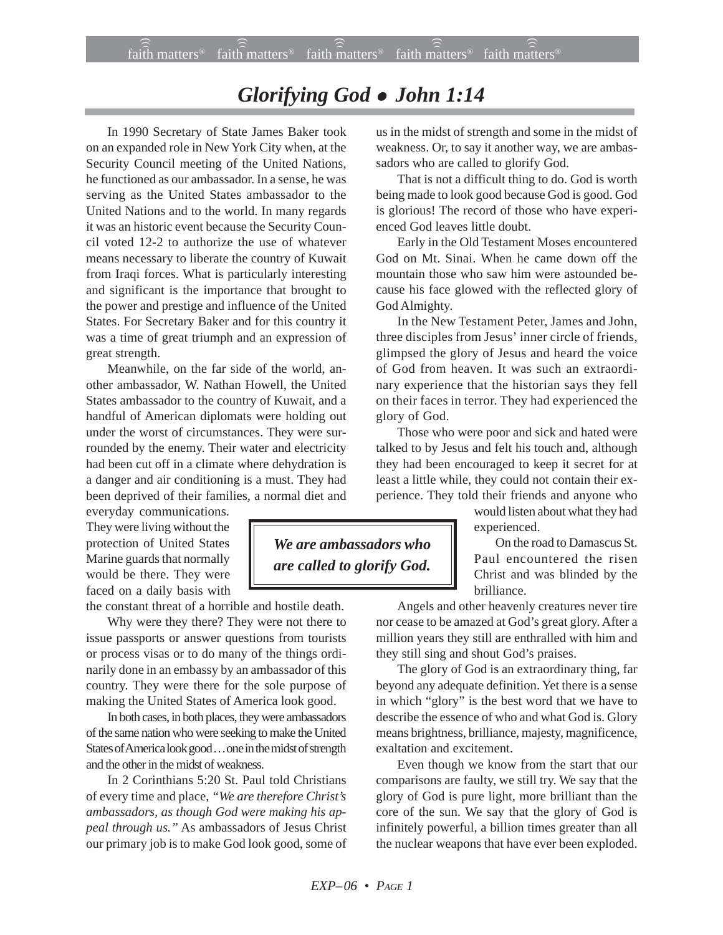## *Glorifying God* ! *John 1:14*

In 1990 Secretary of State James Baker took on an expanded role in New York City when, at the Security Council meeting of the United Nations, he functioned as our ambassador. In a sense, he was serving as the United States ambassador to the United Nations and to the world. In many regards it was an historic event because the Security Council voted 12-2 to authorize the use of whatever means necessary to liberate the country of Kuwait from Iraqi forces. What is particularly interesting and significant is the importance that brought to the power and prestige and influence of the United States. For Secretary Baker and for this country it was a time of great triumph and an expression of great strength.

Meanwhile, on the far side of the world, another ambassador, W. Nathan Howell, the United States ambassador to the country of Kuwait, and a handful of American diplomats were holding out under the worst of circumstances. They were surrounded by the enemy. Their water and electricity had been cut off in a climate where dehydration is a danger and air conditioning is a must. They had been deprived of their families, a normal diet and

everyday communications. They were living without the protection of United States Marine guards that normally would be there. They were faced on a daily basis with

the constant threat of a horrible and hostile death.

Why were they there? They were not there to issue passports or answer questions from tourists or process visas or to do many of the things ordinarily done in an embassy by an ambassador of this country. They were there for the sole purpose of making the United States of America look good.

In both cases, in both places, they were ambassadors of the same nation who were seeking to make the United States of America look good . . . one in the midst of strength and the other in the midst of weakness.

In 2 Corinthians 5:20 St. Paul told Christians of every time and place, *"We are therefore Christ's ambassadors, as though God were making his appeal through us."* As ambassadors of Jesus Christ our primary job is to make God look good, some of us in the midst of strength and some in the midst of weakness. Or, to say it another way, we are ambassadors who are called to glorify God.

That is not a difficult thing to do. God is worth being made to look good because God is good. God is glorious! The record of those who have experienced God leaves little doubt.

Early in the Old Testament Moses encountered God on Mt. Sinai. When he came down off the mountain those who saw him were astounded because his face glowed with the reflected glory of God Almighty.

In the New Testament Peter, James and John, three disciples from Jesus' inner circle of friends, glimpsed the glory of Jesus and heard the voice of God from heaven. It was such an extraordinary experience that the historian says they fell on their faces in terror. They had experienced the glory of God.

Those who were poor and sick and hated were talked to by Jesus and felt his touch and, although they had been encouraged to keep it secret for at least a little while, they could not contain their experience. They told their friends and anyone who

> would listen about what they had experienced.

On the road to Damascus St. Paul encountered the risen Christ and was blinded by the brilliance.

Angels and other heavenly creatures never tire nor cease to be amazed at God's great glory. After a million years they still are enthralled with him and they still sing and shout God's praises.

The glory of God is an extraordinary thing, far beyond any adequate definition. Yet there is a sense in which "glory" is the best word that we have to describe the essence of who and what God is. Glory means brightness, brilliance, majesty, magnificence, exaltation and excitement.

Even though we know from the start that our comparisons are faulty, we still try. We say that the glory of God is pure light, more brilliant than the core of the sun. We say that the glory of God is infinitely powerful, a billion times greater than all the nuclear weapons that have ever been exploded.

*We are ambassadors who are called to glorify God.*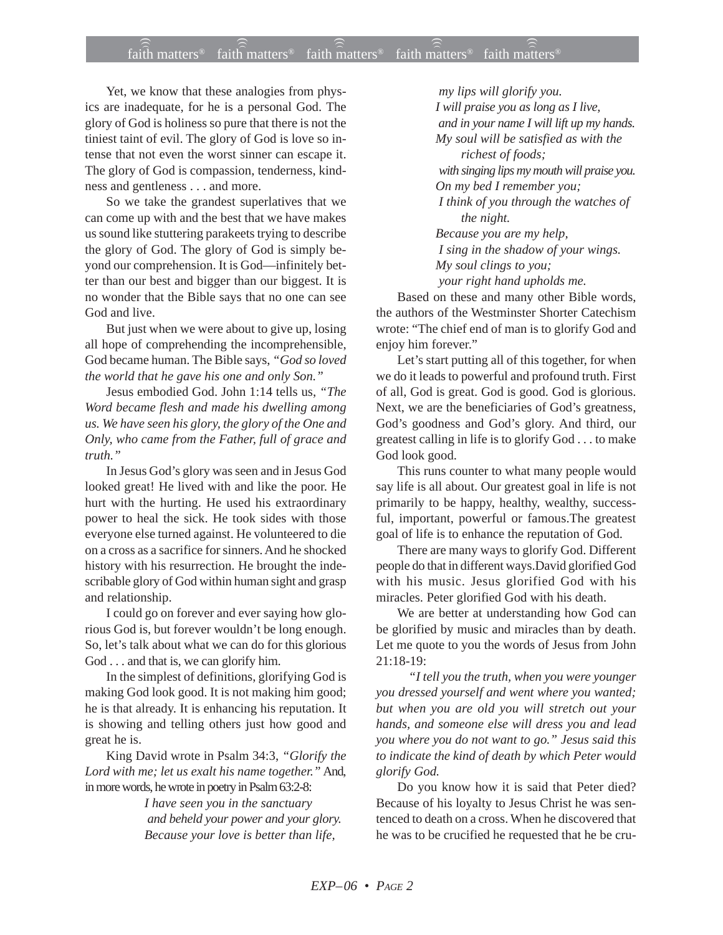## $\widehat{\widehat{\tilde{\mathfrak{n}}}}$  matters® faith matters® faith matters® in  $\widehat{\widehat{\tilde{\mathfrak{n}}}}$  atters® faith matters®

Yet, we know that these analogies from physics are inadequate, for he is a personal God. The glory of God is holiness so pure that there is not the tiniest taint of evil. The glory of God is love so intense that not even the worst sinner can escape it. The glory of God is compassion, tenderness, kindness and gentleness . . . and more.

So we take the grandest superlatives that we can come up with and the best that we have makes us sound like stuttering parakeets trying to describe the glory of God. The glory of God is simply beyond our comprehension. It is God—infinitely better than our best and bigger than our biggest. It is no wonder that the Bible says that no one can see God and live.

But just when we were about to give up, losing all hope of comprehending the incomprehensible, God became human. The Bible says, *"God so loved the world that he gave his one and only Son."*

Jesus embodied God. John 1:14 tells us, *"The Word became flesh and made his dwelling among us. We have seen his glory, the glory of the One and Only, who came from the Father, full of grace and truth."*

In Jesus God's glory was seen and in Jesus God looked great! He lived with and like the poor. He hurt with the hurting. He used his extraordinary power to heal the sick. He took sides with those everyone else turned against. He volunteered to die on a cross as a sacrifice for sinners. And he shocked history with his resurrection. He brought the indescribable glory of God within human sight and grasp and relationship.

I could go on forever and ever saying how glorious God is, but forever wouldn't be long enough. So, let's talk about what we can do for this glorious God . . . and that is, we can glorify him.

In the simplest of definitions, glorifying God is making God look good. It is not making him good; he is that already. It is enhancing his reputation. It is showing and telling others just how good and great he is.

King David wrote in Psalm 34:3, *"Glorify the Lord with me; let us exalt his name together."* And, in more words, he wrote in poetry in Psalm 63:2-8:

> *I have seen you in the sanctuary and beheld your power and your glory. Because your love is better than life,*

 *my lips will glorify you. I will praise you as long as I live, and in your name I will lift up my hands. My soul will be satisfied as with the richest of foods; with singing lips my mouth will praise you. On my bed I remember you; I think of you through the watches of the night.*

*Because you are my help, I sing in the shadow of your wings. My soul clings to you; your right hand upholds me.*

Based on these and many other Bible words, the authors of the Westminster Shorter Catechism wrote: "The chief end of man is to glorify God and enjoy him forever."

Let's start putting all of this together, for when we do it leads to powerful and profound truth. First of all, God is great. God is good. God is glorious. Next, we are the beneficiaries of God's greatness, God's goodness and God's glory. And third, our greatest calling in life is to glorify God . . . to make God look good.

This runs counter to what many people would say life is all about. Our greatest goal in life is not primarily to be happy, healthy, wealthy, successful, important, powerful or famous.The greatest goal of life is to enhance the reputation of God.

There are many ways to glorify God. Different people do that in different ways.David glorified God with his music. Jesus glorified God with his miracles. Peter glorified God with his death.

We are better at understanding how God can be glorified by music and miracles than by death. Let me quote to you the words of Jesus from John 21:18-19:

 *"I tell you the truth, when you were younger you dressed yourself and went where you wanted; but when you are old you will stretch out your hands, and someone else will dress you and lead you where you do not want to go." Jesus said this to indicate the kind of death by which Peter would glorify God.*

Do you know how it is said that Peter died? Because of his loyalty to Jesus Christ he was sentenced to death on a cross. When he discovered that he was to be crucified he requested that he be cru-